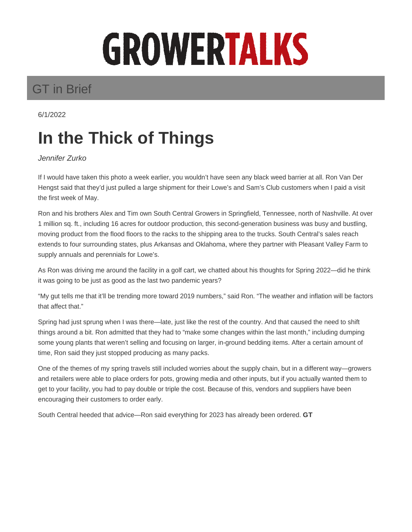## GROWERTALKS

## GT in Brief

6/1/2022

## **In the Thick of Things**

Jennifer Zurko

If I would have taken this photo a week earlier, you wouldn't have seen any black weed barrier at all. Ron Van Der Hengst said that they'd just pulled a large shipment for their Lowe's and Sam's Club customers when I paid a visit the first week of May.

Ron and his brothers Alex and Tim own South Central Growers in Springfield, Tennessee, north of Nashville. At over 1 million sq. ft., including 16 acres for outdoor production, this second-generation business was busy and bustling, moving product from the flood floors to the racks to the shipping area to the trucks. South Central's sales reach extends to four surrounding states, plus Arkansas and Oklahoma, where they partner with Pleasant Valley Farm to supply annuals and perennials for Lowe's.

As Ron was driving me around the facility in a golf cart, we chatted about his thoughts for Spring 2022—did he think it was going to be just as good as the last two pandemic years?

"My gut tells me that it'll be trending more toward 2019 numbers," said Ron. "The weather and inflation will be factors that affect that."

Spring had just sprung when I was there—late, just like the rest of the country. And that caused the need to shift things around a bit. Ron admitted that they had to "make some changes within the last month," including dumping some young plants that weren't selling and focusing on larger, in-ground bedding items. After a certain amount of time, Ron said they just stopped producing as many packs.

One of the themes of my spring travels still included worries about the supply chain, but in a different way—growers and retailers were able to place orders for pots, growing media and other inputs, but if you actually wanted them to get to your facility, you had to pay double or triple the cost. Because of this, vendors and suppliers have been encouraging their customers to order early.

South Central heeded that advice—Ron said everything for 2023 has already been ordered. **GT**